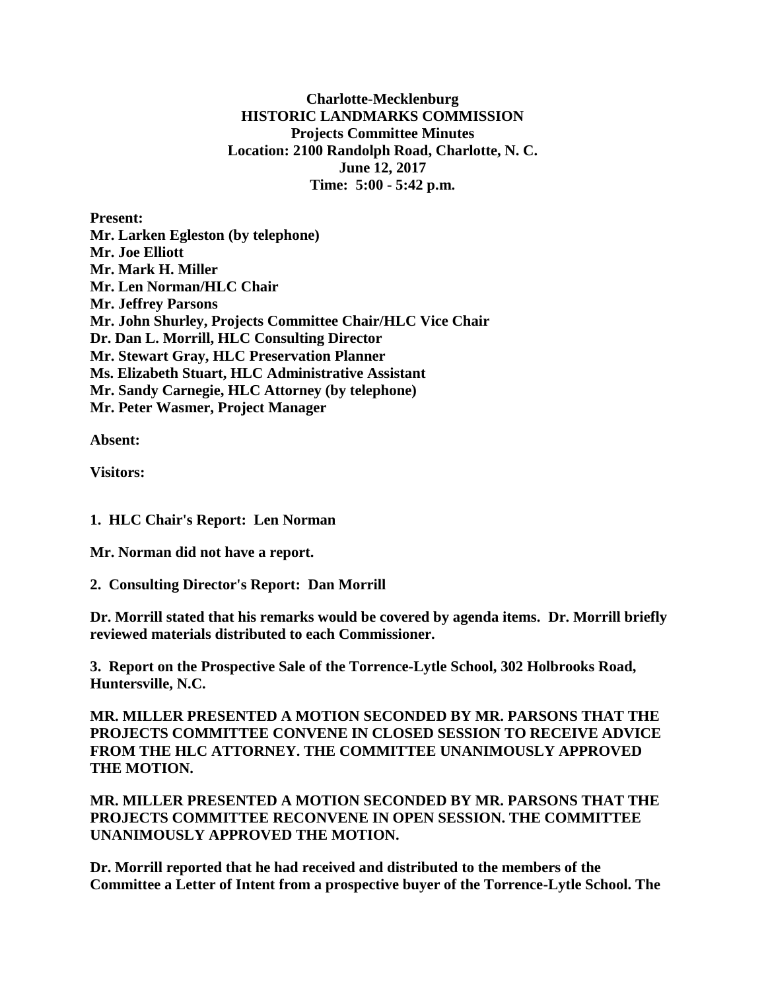**Charlotte-Mecklenburg HISTORIC LANDMARKS COMMISSION Projects Committee Minutes Location: 2100 Randolph Road, Charlotte, N. C. June 12, 2017 Time: 5:00 - 5:42 p.m.**

**Present: Mr. Larken Egleston (by telephone) Mr. Joe Elliott Mr. Mark H. Miller Mr. Len Norman/HLC Chair Mr. Jeffrey Parsons Mr. John Shurley, Projects Committee Chair/HLC Vice Chair Dr. Dan L. Morrill, HLC Consulting Director Mr. Stewart Gray, HLC Preservation Planner Ms. Elizabeth Stuart, HLC Administrative Assistant Mr. Sandy Carnegie, HLC Attorney (by telephone) Mr. Peter Wasmer, Project Manager**

**Absent:** 

**Visitors:** 

**1. HLC Chair's Report: Len Norman**

**Mr. Norman did not have a report.**

**2. Consulting Director's Report: Dan Morrill**

**Dr. Morrill stated that his remarks would be covered by agenda items. Dr. Morrill briefly reviewed materials distributed to each Commissioner.**

**3. Report on the Prospective Sale of the Torrence-Lytle School, 302 Holbrooks Road, Huntersville, N.C.**

**MR. MILLER PRESENTED A MOTION SECONDED BY MR. PARSONS THAT THE PROJECTS COMMITTEE CONVENE IN CLOSED SESSION TO RECEIVE ADVICE FROM THE HLC ATTORNEY. THE COMMITTEE UNANIMOUSLY APPROVED THE MOTION.**

**MR. MILLER PRESENTED A MOTION SECONDED BY MR. PARSONS THAT THE PROJECTS COMMITTEE RECONVENE IN OPEN SESSION. THE COMMITTEE UNANIMOUSLY APPROVED THE MOTION.**

**Dr. Morrill reported that he had received and distributed to the members of the Committee a Letter of Intent from a prospective buyer of the Torrence-Lytle School. The**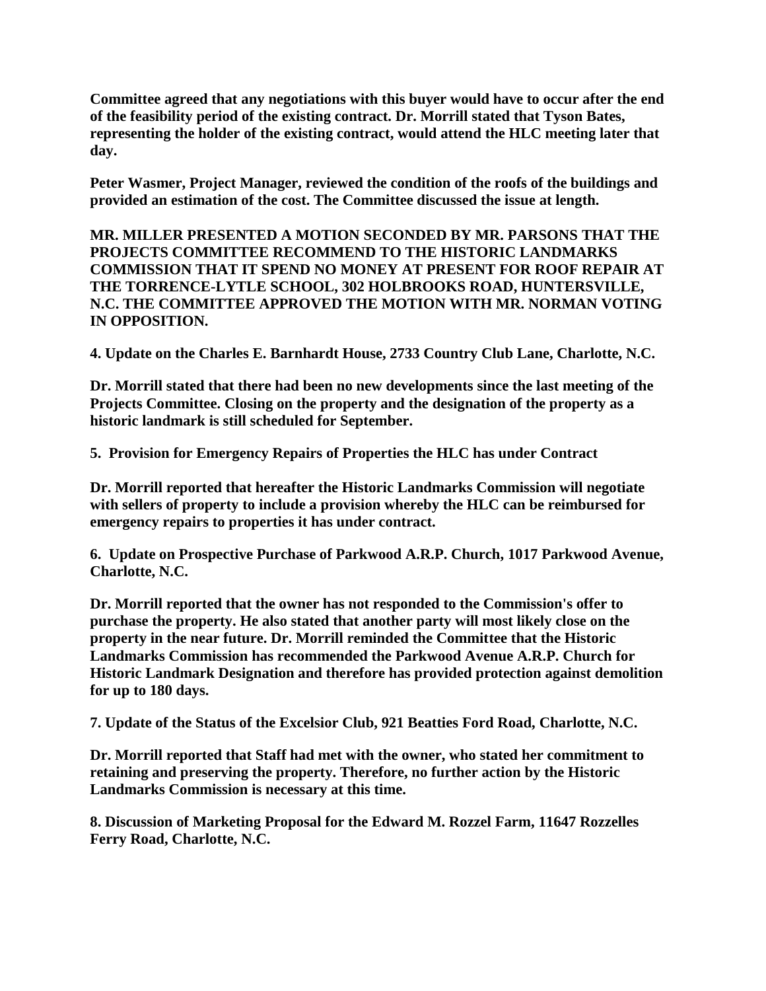**Committee agreed that any negotiations with this buyer would have to occur after the end of the feasibility period of the existing contract. Dr. Morrill stated that Tyson Bates, representing the holder of the existing contract, would attend the HLC meeting later that day.**

**Peter Wasmer, Project Manager, reviewed the condition of the roofs of the buildings and provided an estimation of the cost. The Committee discussed the issue at length.**

**MR. MILLER PRESENTED A MOTION SECONDED BY MR. PARSONS THAT THE PROJECTS COMMITTEE RECOMMEND TO THE HISTORIC LANDMARKS COMMISSION THAT IT SPEND NO MONEY AT PRESENT FOR ROOF REPAIR AT THE TORRENCE-LYTLE SCHOOL, 302 HOLBROOKS ROAD, HUNTERSVILLE, N.C. THE COMMITTEE APPROVED THE MOTION WITH MR. NORMAN VOTING IN OPPOSITION.**

**4. Update on the Charles E. Barnhardt House, 2733 Country Club Lane, Charlotte, N.C.**

**Dr. Morrill stated that there had been no new developments since the last meeting of the Projects Committee. Closing on the property and the designation of the property as a historic landmark is still scheduled for September.**

**5. Provision for Emergency Repairs of Properties the HLC has under Contract**

**Dr. Morrill reported that hereafter the Historic Landmarks Commission will negotiate with sellers of property to include a provision whereby the HLC can be reimbursed for emergency repairs to properties it has under contract.**

**6. Update on Prospective Purchase of Parkwood A.R.P. Church, 1017 Parkwood Avenue, Charlotte, N.C.** 

**Dr. Morrill reported that the owner has not responded to the Commission's offer to purchase the property. He also stated that another party will most likely close on the property in the near future. Dr. Morrill reminded the Committee that the Historic Landmarks Commission has recommended the Parkwood Avenue A.R.P. Church for Historic Landmark Designation and therefore has provided protection against demolition for up to 180 days.**

**7. Update of the Status of the Excelsior Club, 921 Beatties Ford Road, Charlotte, N.C.**

**Dr. Morrill reported that Staff had met with the owner, who stated her commitment to retaining and preserving the property. Therefore, no further action by the Historic Landmarks Commission is necessary at this time.**

**8. Discussion of Marketing Proposal for the Edward M. Rozzel Farm, 11647 Rozzelles Ferry Road, Charlotte, N.C.**